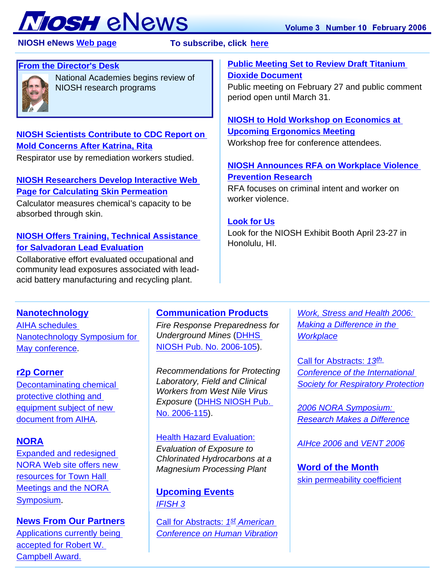# **TOSH** eNews

 **NIOSH eNews [Web page](http://www.cdc.gov/niosh/enews/) To subscribe, click [here](http://www.cdc.gov/niosh/enews/)** 

# **[From the Director's Desk](#page-1-0)**



National Academies begins review of NIOSH research programs

# **[NIOSH Scientists Contribute to CDC Report on](#page-1-1)  [Mold Concerns After Katrina, Rita](#page-1-1)**

Respirator use by remediation workers studied.

# **[NIOSH Researchers Develop Interactive Web](#page-2-0)  [Page for Calculating Skin Permeation](#page-2-0)**

Calculator measures chemical's capacity to be absorbed through skin.

# **[NIOSH Offers Training, Technical Assistance](#page-2-1) [for Salvadoran Lead Evaluation](#page-2-1)**

Collaborative effort evaluated occupational and community lead exposures associated with leadacid battery manufacturing and recycling plant.

# **[Public Meeting Set to Review Draft Titanium](#page-2-2)  [Dioxide Document](#page-2-2)**

Public meeting on February 27 and public comment period open until March 31.

# **[NIOSH to Hold Workshop on Economics at](#page-3-0) [Upcoming Ergonomics Meeting](#page-3-0)**

Workshop free for conference attendees.

# **[NIOSH Announces RFA on Workplace Violence](#page-3-1)  [Prevention Research](#page-3-1)**

RFA focuses on criminal intent and worker on worker violence.

# **[Look for Us](#page-3-2)**

Look for the NIOSH Exhibit Booth April 23-27 in Honolulu, HI.

# **[Nanotechnology](#page-3-3)**

[AIHA schedules](#page-3-4)  [Nanotechnology Symposium for](#page-3-4) [May conference.](#page-3-4)

# **[r2p Corner](#page-3-5)**

[Decontaminating chemical](#page-4-0)  [protective clothing and](#page-4-0)  [equipment subject of new](#page-4-0) [document from AIHA](#page-4-0).

# **[NORA](#page-4-1)**

[Expanded and redesigned](#page-4-2) [NORA Web site offers new](#page-4-2) [resources for Town Hall](#page-4-2) [Meetings and the NORA](#page-4-2) [Symposium](#page-4-2).

**[News From Our Partners](#page-4-5)** [Applications currently being](#page-4-6)  [accepted for Robert W.](#page-4-6)  [Campbell Award.](#page-4-6)

# **[Communication Products](#page-4-3)**

*Fire Response Preparedness for Underground Mines* [\(DHHS](#page-4-4) [NIOSH Pub. No. 2006-105\)](#page-4-4).

*Recommendations for Protecting Laboratory, Field and Clinical Workers from West Nile Virus Exposure* ([DHHS NIOSH Pub.](#page-5-0) [No. 2006-115](#page-5-0)).

# [Health Hazard Evaluation:](#page-5-1)

*Evaluation of Exposure to Chlorinated Hydrocarbons at a Magnesium Processing Plant*

# **[Upcoming Events](#page-5-2)** *[IFISH 3](#page-5-3)*

[Call for Abstracts:](#page-5-5) *1st American [Conference on Human Vibration](#page-5-5)*

*[Work, Stress and Health 2006:](#page-5-4)  [Making a Difference in the](#page-5-4) [Workplace](#page-5-4)*

[Call for Abstracts:](#page-6-0) *13th [Conference of the International](#page-6-0) [Society for Respiratory Protection](#page-6-0)*

*[2006 NORA Symposium:](#page-6-1) [Research Makes a Difference](#page-6-1)*

*[AIHce 2006](#page-6-2)* and *[VENT 2006](#page-6-2)*

**[Word of the Month](#page-6-3)** [skin permeability coefficient](#page-6-4)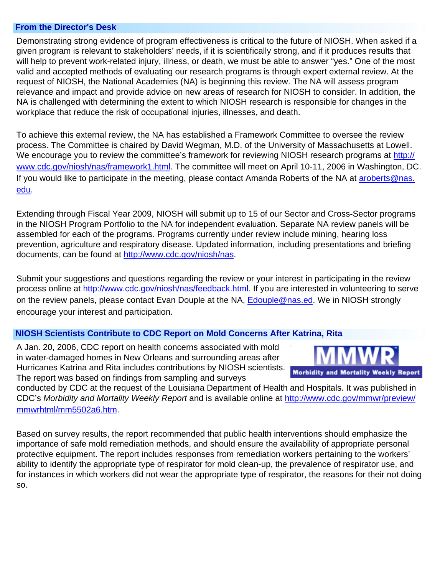#### **From the Director's Desk**

<span id="page-1-0"></span>Demonstrating strong evidence of program effectiveness is critical to the future of NIOSH. When asked if a given program is relevant to stakeholders' needs, if it is scientifically strong, and if it produces results that will help to prevent work-related injury, illness, or death, we must be able to answer "yes." One of the most valid and accepted methods of evaluating our research programs is through expert external review. At the request of NIOSH, the National Academies (NA) is beginning this review. The NA will assess program relevance and impact and provide advice on new areas of research for NIOSH to consider. In addition, the NA is challenged with determining the extent to which NIOSH research is responsible for changes in the workplace that reduce the risk of occupational injuries, illnesses, and death.

To achieve this external review, the NA has established a Framework Committee to oversee the review process. The Committee is chaired by David Wegman, M.D. of the University of Massachusetts at Lowell. We encourage you to review the committee's framework for reviewing NIOSH research programs at [http://](http://www.cdc.gov/niosh/nas/framework1.html) [www.cdc.gov/niosh/nas/framework1.html.](http://www.cdc.gov/niosh/nas/framework1.html) The committee will meet on April 10-11, 2006 in Washington, DC. If you would like to participate in the meeting, please contact Amanda Roberts of the NA at [aroberts@nas.](mailto:aroberts@nas.edu) edu.

Extending through Fiscal Year 2009, NIOSH will submit up to 15 of our Sector and Cross-Sector programs in the NIOSH Program Portfolio to the NA for independent evaluation. Separate NA review panels will be assembled for each of the programs. Programs currently under review include mining, hearing loss [prev](mailto:aroberts@nas.edu)ention, agriculture and respiratory disease. Updated information, including presentations and briefing documents, can be found at [http://www.cdc.gov/niosh/nas.](http://www.cdc.gov/niosh/nas)

Submit your suggestions and questions regarding the review or your interest in participating in the review process online at [http://www.cdc.gov/niosh/nas/feedback.html.](http://www.cdc.gov/niosh/nas/feedback.html) If you are interested in volunteering to serve on the review panels, please contact Evan Douple at the NA, [Edouple@nas.ed.](mailto:Edouple@nas.ed) We in NIOSH strongly encourage your interest and participation.

#### **NIOSH Scientists Contribute to CDC Report on Mold Concerns After Katrina, Rita**

A Jan. 20, 2006, CDC report on health concerns associated with mold in water-damaged homes in New Orleans and surrounding areas after Hurricanes Katrina and Rita includes contributions by NIOSH scientists. The report was based on findings from sampling and surveys



<span id="page-1-1"></span>conducted by CDC at the request of the Louisiana Department of Health and Hospitals. It was published in CDC's *Morbidity and Mortality Weekly Report* and is available online at [http://www.cdc.gov/mmwr/preview/](http://www.cdc.gov/mmwr/preview/mmwrhtml/mm5502a6.htm) [mmwrhtml/mm5502a6.htm](http://www.cdc.gov/mmwr/preview/mmwrhtml/mm5502a6.htm).

Based on survey results, the report recommended that public health interventions should emphasize the importance of safe mold remediation methods, and should ensure the availability of appropriate personal protective equipment. The report includes responses from remediation workers pertaining to the workers' ability to identify the appropriate type of respirator for mold clean-up, the prevalence of respirator use, and for instances in which workers did not wear the appropriate type of respirator, the reasons for their not doing so.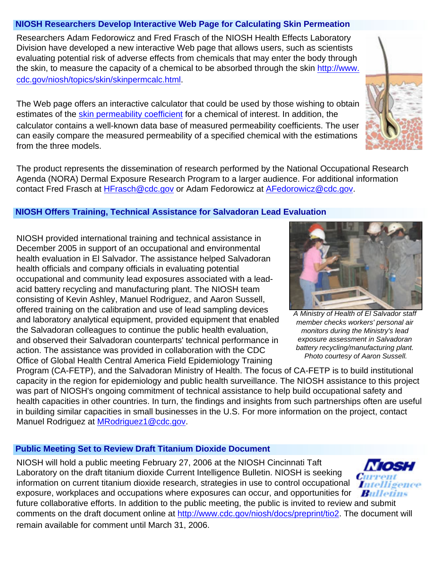## <span id="page-2-0"></span> **NIOSH Researchers Develop Interactive Web Page for Calculating Skin Permeation**

Researchers Adam Fedorowicz and Fred Frasch of the NIOSH Health Effects Laboratory Division have developed a new interactive Web page that allows users, such as scientists evaluating potential risk of adverse effects from chemicals that may enter the body through the skin, to measure the capacity of a chemical to be absorbed through the skin [http://www.](http://www.cdc.gov/niosh/topics/skin/skinpermcalc.html) [cdc.gov/niosh/topics/skin/skinpermcalc.html.](http://www.cdc.gov/niosh/topics/skin/skinpermcalc.html)

The Web page offers an interactive calculator that could be used by those wishing to obtain estimates of the [skin permeability coefficient](#page-6-3) for a chemical of interest. In addition, the calculator contains a well-known data base of measured permeability coefficients. The user can easily compare the measured permeability of a specified chemical with the estimations from the three models.

The product represents the dissemination of research performed by the National Occupational Research Agenda (NORA) Dermal Exposure Research Program to a larger audience. For additional information contact Fred Frasch at [HFrasch@cdc.gov](mailto:HFrasch@cdc.gov) or Adam Fedorowicz at [AFedorowicz@cdc.gov.](mailto:AFedorowicz@cdc.gov)

## <span id="page-2-1"></span> **NIOSH Offers Training, Technical Assistance for Salvadoran Lead Evaluation**

NIOSH provided international training and technical assistance in December 2005 in support of an occupational and environmental health evaluation in El Salvador. The assistance helped Salvadoran health officials and company officials in evaluating potential occupational and community lead exposures associated with a leadacid battery recycling and manufacturing plant. The NIOSH team consisting of Kevin Ashley, Manuel Rodriguez, and Aaron Sussell, offered training on the calibration and use of lead sampling devices and laboratory analytical equipment, provided equipment that enabled the Salvadoran colleagues to continue the public health evaluation, and observed their Salvadoran counterparts' technical performance in action. The assistance was provided in collaboration with the CDC Office of Global Health Central America Field Epidemiology Training

Program (CA-FETP), and the Salvadoran Ministry of Health. The focus of CA-FETP is to build institutional capacity in the region for epidemiology and public health surveillance. The NIOSH assistance to this project was part of NIOSH's ongoing commitment of technical assistance to help build occupational safety and health capacities in other countries. In turn, the findings and insights from such partnerships often are useful in building similar capacities in small businesses in the U.S. For more information on the project, contact Manuel Rodriguez at [MRodriguez1@cdc.gov.](mailto:MRodriguez1@cdc.gov)

# <span id="page-2-2"></span> **Public Meeting Set to Review Draft Titanium Dioxide Document**

NIOSH will hold a public meeting February 27, 2006 at the NIOSH Cincinnati Taft Laboratory on the draft titanium dioxide Current Intelligence Bulletin. NIOSH is seeking information on current titanium dioxide research, strategies in use to control occupational exposure, workplaces and occupations where exposures can occur, and opportunities for

future collaborative efforts. In addition to the public meeting, the public is invited to review and submit comments on the draft document online at [http://www.cdc.gov/niosh/docs/preprint/tio2.](http://www.cdc.gov/niosh/docs/preprint/tio2) The document will remain available for comment until March 31, 2006.









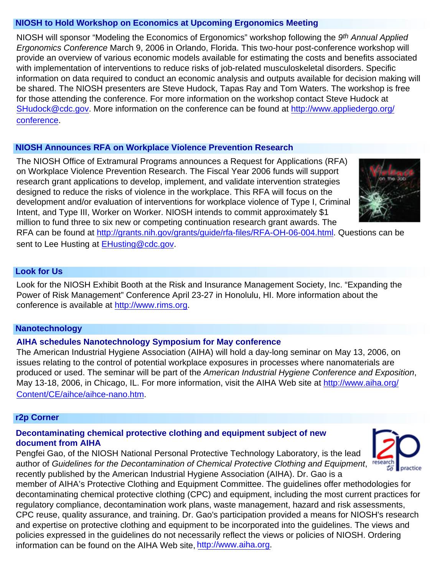#### <span id="page-3-0"></span> **NIOSH to Hold Workshop on Economics at Upcoming Ergonomics Meeting**

NIOSH will sponsor "Modeling the Economics of Ergonomics" workshop following the *9th Annual Applied Ergonomics Conference* March 9, 2006 in Orlando, Florida. This two-hour post-conference workshop will provide an overview of various economic models available for estimating the costs and benefits associated with implementation of interventions to reduce risks of job-related musculoskeletal disorders. Specific information on data required to conduct an economic analysis and outputs available for decision making will be shared. The NIOSH presenters are Steve Hudock, Tapas Ray and Tom Waters. The workshop is free for those attending the conference. For more information on the workshop contact Steve Hudock at [SHudock@cdc.gov](mailto:SHudock@cdc.gov). More information on the conference can be found at [http://www.appliedergo.org/](http://www.appliedergo.org/conference) [conference.](http://www.appliedergo.org/conference)

#### <span id="page-3-1"></span> **NIOSH Announces RFA on Workplace Violence Prevention Research**

The NIOSH Office of Extramural Programs announces a Request for Applications (RFA) on Workplace Violence Prevention Research. The Fiscal Year 2006 funds will support research grant applications to develop, implement, and validate intervention strategies designed to reduce the risks of violence in the workplace. This RFA will focus on the development and/or evaluation of interventions for workplace violence of Type I, Criminal Intent, and Type III, Worker on Worker. NIOSH intends to commit approximately \$1 million to fund three to six new or competing continuation research grant awards. The



RFA can be found at [http://grants.nih.gov/grants/guide/rfa-files/RFA-OH-06-004.html.](http://grants.nih.gov/grants/guide/rfa-files/RFA-OH-06-004.html) Questions can be sent to Lee Husting at [EHusting@cdc.gov](mailto:EHusting@cdc.gov).

## <span id="page-3-2"></span> **Look for Us**

Look for the NIOSH Exhibit Booth at the Risk and Insurance Management Society, Inc. "Expanding the Power of Risk Management" Conference April 23-27 in Honolulu, HI. More information about the conference is available at [http://www.rims.org](http://www.rims.org/).

#### <span id="page-3-3"></span> **Nanotechnology**

## <span id="page-3-4"></span>**AIHA schedules Nanotechnology Symposium for May conference**

The American Industrial Hygiene Association (AIHA) will hold a day-long seminar on May 13, 2006, on issues relating to the control of potential workplace exposures in processes where nanomaterials are produced or used. The seminar will be part of the *American Industrial Hygiene Conference and Exposition*, May 13-18, 2006, in Chicago, IL. For more information, visit the AIHA Web site at [http://www.aiha.org/](http://www.aiha.org/Content/CE/aihce/aihce-nano.htm) [Content/CE/aihce/aihce-nano.htm](http://www.aiha.org/Content/CE/aihce/aihce-nano.htm).

#### <span id="page-3-5"></span> **r2p Corner**

## **Decontaminating chemical protective clothing and equipment subject of new document from AIHA**

Pengfei Gao, of the NIOSH National Personal Protective Technology Laboratory, is the lead author of *Guidelines for the Decontamination of Chemical Protective Clothing and Equipment*, recently published by the American Industrial Hygiene Association (AIHA). Dr. Gao is a



member of AIHA's Protective Clothing and Equipment Committee. The guidelines offer methodologies for decontaminating chemical protective clothing (CPC) and equipment, including the most current practices for regulatory compliance, decontamination work plans, waste management, hazard and risk assessments, CPC reuse, quality assurance, and training. Dr. Gao's participation provided a means for NIOSH's research and expertise on protective clothing and equipment to be incorporated into the guidelines. The views and policies expressed in the guidelines do not necessarily reflect the views or policies of NIOSH. Ordering information can be found on the AIHA Web site, [http://www.aiha.org.](http://www.aiha.org/)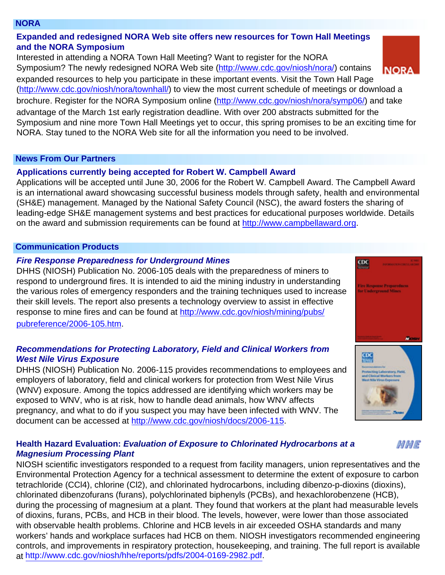#### **NORA**

## <span id="page-4-0"></span>**Expanded and redesigned NORA Web site offers new resources for Town Hall Meetings and the NORA Symposium**

Interested in attending a NORA Town Hall Meeting? Want to register for the NORA Symposium? The newly redesigned NORA Web site (<http://www.cdc.gov/niosh/nora/>) contains **NORA** expanded resources to help you participate in these important events. Visit the Town Hall Page (<http://www.cdc.gov/niosh/nora/townhall/>) to view the most current schedule of meetings or download a brochure. Register for the NORA Symposium online [\(http://www.cdc.gov/niosh/nora/symp06/\)](http://www.cdc.gov/niosh/nora/symp06/) and take advantage of the March 1st early registration deadline. With over 200 abstracts submitted for the Symposium and nine more Town Hall Meetings yet to occur, this spring promises to be an exciting time for NORA. Stay tuned to the NORA Web site for all the information you need to be involved.

#### <span id="page-4-1"></span> **News From Our Partners**

## **Applications currently being accepted for Robert W. Campbell Award**

<span id="page-4-2"></span>Applications will be accepted until June 30, 2006 for the Robert W. Campbell Award. The Campbell Award is an international award showcasing successful business models through safety, health and environmental (SH&E) management. Managed by the National Safety Council (NSC), the award fosters the sharing of leading-edge SH&E management systems and best practices for educational purposes worldwide. Details on the award and submission requirements can be found at [http://www.campbellaward.org](http://www.campbellaward.org/).

## **Communication Products**

## *Fire Response Preparedness for Underground Mines*

<span id="page-4-5"></span>DHHS (NIOSH) Publication No. 2006-105 deals with the preparedness of miners to respond to underground fires. It is intended to aid the mining industry in understanding the various roles of emergency responders and the training techniques used to increase their skill levels. The report also presents a technology overview to assist in effective response to mine fires and can be found at [http://www.cdc.gov/niosh/mining/pubs/](http://www.cdc.gov/niosh/mining/pubs/pubreference/2006-105.htm) [pubreference/2006-105.htm](http://www.cdc.gov/niosh/mining/pubs/pubreference/2006-105.htm).

## <span id="page-4-6"></span>*Recommendations for Protecting Laboratory, Field and Clinical Workers from West Nile Virus Exposure*

<span id="page-4-3"></span>DHHS (NIOSH) Publication No. 2006-115 provides recommendations to employees and employers of laboratory, field and clinical workers for protection from West Nile Virus (WNV) exposure. Among the topics addressed are identifying which workers may be exposed to WNV, who is at risk, how to handle dead animals, how WNV affects pregnancy, and what to do if you suspect you may have been infected with WNV. The document can be accessed at [http://www.cdc.gov/niosh/docs/2006-115.](http://www.cdc.gov/niosh/docs/2006-115)

## <span id="page-4-4"></span>**Health Hazard Evaluation:** *Evaluation of Exposure to Chlorinated Hydrocarbons at a Magnesium Processing Plant*

NIOSH scientific investigators responded to a request from facility managers, union representatives and the Environmental Protection Agency for a technical assessment to determine the extent of exposure to carbon tetrachloride (CCl4), chlorine (Cl2), and chlorinated hydrocarbons, including dibenzo-p-dioxins (dioxins), chlorinated dibenzofurans (furans), polychlorinated biphenyls (PCBs), and hexachlorobenzene (HCB), during the processing of magnesium at a plant. They found that workers at the plant had measurable levels of dioxins, furans, PCBs, and HCB in their blood. The levels, however, were lower than those associated with observable health problems. Chlorine and HCB levels in air exceeded OSHA standards and many workers' hands and workplace surfaces had HCB on them. NIOSH investigators recommended engineering controls, and improvements in respiratory protection, housekeeping, and training. The full report is available at [http://www.cdc.gov/niosh/hhe/reports/pdfs/2004-0169-2982.pdf.](http://www.cdc.gov/niosh/hhe/reports/pdfs/2004-0169-2982.pdf)



 $CDC$ 





MME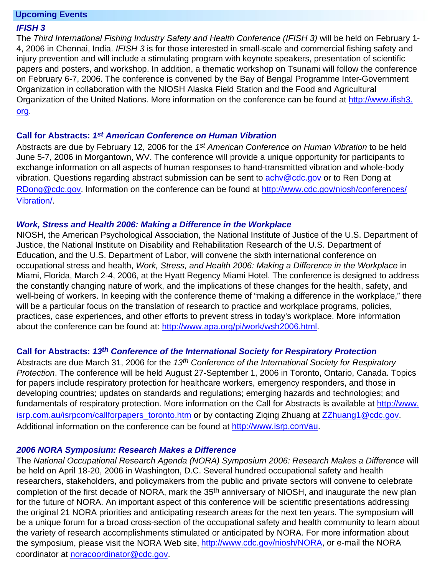#### **Upcoming Events**

#### <span id="page-5-0"></span>*IFISH 3*

Organization of the United Nations. More information on the conference can be found at [http://www.ifish3.](http://www.ifish3.org/) [org.](http://www.ifish3.org/) The *Third International Fishing Industry Safety and Health Conference (IFISH 3)* will be held on February 1- 4, 2006 in Chennai, India. *IFISH 3* is for those interested in small-scale and commercial fishing safety and injury prevention and will include a stimulating program with keynote speakers, presentation of scientific papers and posters, and workshop. In addition, a thematic workshop on Tsunami will follow the conference on February 6-7, 2006. The conference is convened by the Bay of Bengal Programme Inter-Government Organization in collaboration with the NIOSH Alaska Field Station and the Food and Agricultural

#### <span id="page-5-1"></span>**Call for Abstracts:** *1st American Conference on Human Vibration*

Abstracts are due by February 12, 2006 for the *1st American Conference on Human Vibration* to be held June 5-7, 2006 in Morgantown, WV. The conference will provide a unique opportunity for participants to exchange information on all aspects of human responses to hand-transmitted vibration and whole-body vibration. Questions regarding abstract submission can be sent to achy@cdc.gov or to Ren Dong at [RDong@cdc.gov](mailto:RDong@cdc.gov). Information on the conference can be found at [http://www.cdc.gov/niosh/conferences/](http://www.cdc.gov/niosh/conferences/Vibration/) [Vibration/](http://www.cdc.gov/niosh/conferences/Vibration/).

#### *Work, Stress and Health 2006: Making a Difference in the Workplace*

<span id="page-5-3"></span><span id="page-5-2"></span>NIOSH, the American Psychological Association, the National Institute of Justice of the U.S. Department of Justice, the National Institute on Disability and Rehabilitation Research of the U.S. Department of Education, and the U.S. Department of Labor, will convene the sixth international conference on occupational stress and health, *Work, Stress, and Health 2006: Making a Difference in the Workplace* in Miami, Florida, March 2-4, 2006, at the Hyatt Regency Miami Hotel. The conference is designed to address the constantly changing nature of work, and the implications of these changes for the health, safety, and well-being of workers. In keeping with the conference theme of "making a difference in the workplace," there will be a particular focus on the translation of research to practice and workplace programs, policies, practices, case experiences, and other efforts to prevent stress in today's workplace. More information about the conference can be found at:<http://www.apa.org/pi/work/wsh2006.html>.

#### **Call for Abstracts:** *13th Conference of the International Society for Respiratory Protection*

<span id="page-5-5"></span>Abstracts are due March 31, 2006 for the *13th Conference of the International Society for Respiratory Protection*. The conference will be held August 27-September 1, 2006 in Toronto, Ontario, Canada. Topics for papers include respiratory protection for healthcare workers, emergency responders, and those in developing countries; updates on standards and regulations; emerging hazards and technologies; and fundamentals of respiratory protection. More information on the Call for Abstracts is available at [http://www.](http://www.isrp.com.au/isrpcom/callforpapers_toronto.htm) [isrp.com.au/isrpcom/callforpapers\\_toronto.htm](http://www.isrp.com.au/isrpcom/callforpapers_toronto.htm) or by contacting Ziqing Zhuang at [ZZhuang1@cdc.gov](mailto:ZZhuang1@cdc.gov). Additional information on the conference can be found at<http://www.isrp.com/au>.

#### *2006 NORA Symposium: Research Makes a Difference*

<span id="page-5-4"></span>The *National Occupational Research Agenda (NORA) Symposium 2006: Research Makes a Difference* will be held on April 18-20, 2006 in Washington, D.C. Several hundred occupational safety and health researchers, stakeholders, and policymakers from the public and private sectors will convene to celebrate completion of the first decade of NORA, mark the 35<sup>th</sup> anniversary of NIOSH, and inaugurate the new plan for the future of NORA. An important aspect of this conference will be scientific presentations addressing the original 21 NORA priorities and anticipating research areas for the next ten years. The symposium will be a unique forum for a broad cross-section of the occupational safety and health community to learn about the variety of research accomplishments stimulated or anticipated by NORA. For more information about the symposium, please visit the NORA Web site,<http://www.cdc.gov/niosh/NORA>, or e-mail the NORA coordinator at [noracoordinator@cdc.gov](mailto:noracoordinator@cdc.gov).